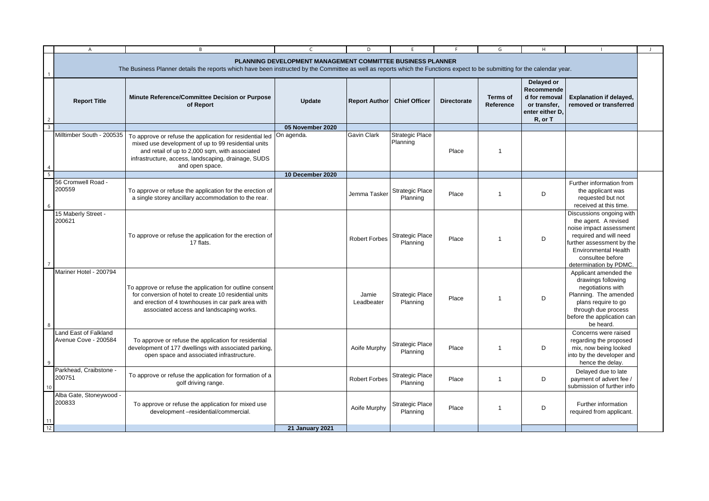|                | $\overline{A}$                                | B                                                                                                                                                                                                                                           | C                      | D                    |                                    |                    | G                            | H                                                                                       | $\mathbf{I}$                                                                                                                                                                                                    |  |
|----------------|-----------------------------------------------|---------------------------------------------------------------------------------------------------------------------------------------------------------------------------------------------------------------------------------------------|------------------------|----------------------|------------------------------------|--------------------|------------------------------|-----------------------------------------------------------------------------------------|-----------------------------------------------------------------------------------------------------------------------------------------------------------------------------------------------------------------|--|
|                |                                               | PLANNING DEVELOPMENT MANAGEMENT COMMITTEE BUSINESS PLANNER<br>The Business Planner details the reports which have been instructed by the Committee as well as reports which the Functions expect to be submitting for the calendar year.    |                        |                      |                                    |                    |                              |                                                                                         |                                                                                                                                                                                                                 |  |
|                | <b>Report Title</b>                           | Minute Reference/Committee Decision or Purpose<br>of Report                                                                                                                                                                                 | Update                 | <b>Report Author</b> | <b>Chief Officer</b>               | <b>Directorate</b> | <b>Terms of</b><br>Reference | Delayed or<br>Recommende<br>d for removal<br>or transfer.<br>enter either D,<br>R, or T | <b>Explanation if delayed,</b><br>removed or transferred                                                                                                                                                        |  |
| $\overline{3}$ |                                               |                                                                                                                                                                                                                                             | 05 November 2020       |                      |                                    |                    |                              |                                                                                         |                                                                                                                                                                                                                 |  |
|                | Milltimber South - 200535                     | To approve or refuse the application for residential led<br>mixed use development of up to 99 residential units<br>and retail of up to 2,000 sqm, with associated<br>infrastructure, access, landscaping, drainage, SUDS<br>and open space. | On agenda.             | <b>Gavin Clark</b>   | <b>Strategic Place</b><br>Planning | Place              | $\mathbf{1}$                 |                                                                                         |                                                                                                                                                                                                                 |  |
| -5             |                                               |                                                                                                                                                                                                                                             | 10 December 2020       |                      |                                    |                    |                              |                                                                                         |                                                                                                                                                                                                                 |  |
|                | 56 Cromwell Road -<br>200559                  | To approve or refuse the application for the erection of<br>a single storey ancillary accommodation to the rear.                                                                                                                            |                        | Jemma Tasker         | <b>Strategic Place</b><br>Planning | Place              | $\mathbf{1}$                 | D                                                                                       | Further information from<br>the applicant was<br>requested but not<br>received at this time.                                                                                                                    |  |
|                | 15 Maberly Street -<br>200621                 | To approve or refuse the application for the erection of<br>17 flats.                                                                                                                                                                       |                        | <b>Robert Forbes</b> | <b>Strategic Place</b><br>Planning | Place              | $\mathbf{1}$                 | D                                                                                       | Discussions ongoing with<br>the agent. A revised<br>noise impact assessment<br>required and will need<br>further assessment by the<br><b>Environmental Health</b><br>consultee before<br>determination by PDMC. |  |
|                | Mariner Hotel - 200794                        | To approve or refuse the application for outline consent<br>for conversion of hotel to create 10 residential units<br>and erection of 4 townhouses in car park area with<br>associated access and landscaping works.                        |                        | Jamie<br>Leadbeater  | <b>Strategic Place</b><br>Planning | Place              | $\mathbf{1}$                 | D                                                                                       | Applicant amended the<br>drawings following<br>negotiations with<br>Planning. The amended<br>plans require to go<br>through due process<br>before the application can<br>be heard.                              |  |
| $\mathbf{q}$   | Land East of Falkland<br>Avenue Cove - 200584 | To approve or refuse the application for residential<br>development of 177 dwellings with associated parking,<br>open space and associated infrastructure.                                                                                  |                        | Aoife Murphy         | <b>Strategic Place</b><br>Planning | Place              | $\mathbf{1}$                 | D                                                                                       | Concerns were raised<br>regarding the proposed<br>mix, now being looked<br>into by the developer and<br>hence the delay.                                                                                        |  |
|                | Parkhead, Craibstone -<br>200751              | To approve or refuse the application for formation of a<br>golf driving range.                                                                                                                                                              |                        | <b>Robert Forbes</b> | Strategic Place<br>Planning        | Place              | $\mathbf{1}$                 | D                                                                                       | Delayed due to late<br>payment of advert fee /<br>submission of further info                                                                                                                                    |  |
| 11             | Alba Gate, Stoneywood -<br>200833             | To approve or refuse the application for mixed use<br>development -residential/commercial.                                                                                                                                                  |                        | Aoife Murphy         | <b>Strategic Place</b><br>Planning | Place              | $\mathbf{1}$                 | D                                                                                       | Further information<br>required from applicant.                                                                                                                                                                 |  |
| 12             |                                               |                                                                                                                                                                                                                                             | <b>21 January 2021</b> |                      |                                    |                    |                              |                                                                                         |                                                                                                                                                                                                                 |  |